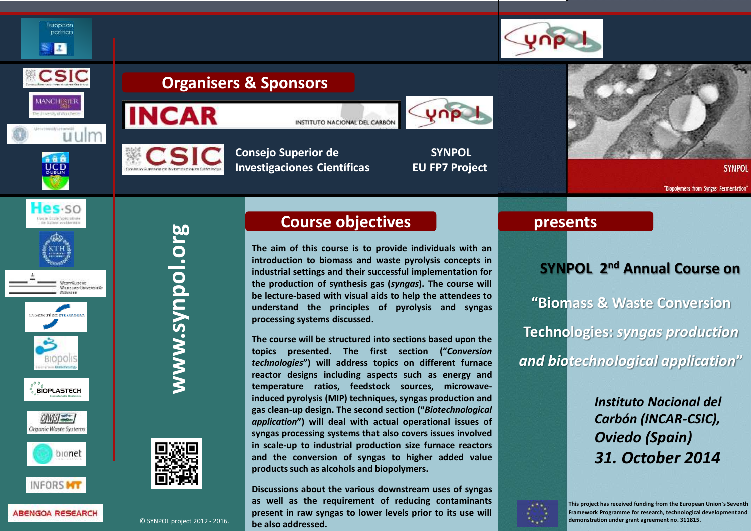

# **Organisers & Sponsors**





INSTITUTO NACIONAL DEL CARBÓN



**Consejo Superior de SYNPOL Investigaciones Científicas EU FP7 Project**



**SYNPOL** 

"Biopolymers from Syngas Fermentation'

**Herte Ernie Ankrattus** Westräusche Wannas-Buversman





Eugpach portnors  $\mathbf{z}$ 

CSIC

MANCHESUR

JCD

Hesso

**Milwayse** 

uulm







**ABENGOA RESEARCH** 

www.synpol.org **www.synpol.org**



© SYNPOL project 2012 - 2016.

# **Course objectives**

**The aim of this course is to provide individuals with an introduction to biomass and waste pyrolysis concepts in industrial settings and their successful implementation for the production of synthesis gas (***syngas***). The course will be lecture-based with visual aids to help the attendees to understand the principles of pyrolysis and syngas processing systems discussed.**

**The course will be structured into sections based upon the topics presented. The first section ("***Conversion technologies***") will address topics on different furnace reactor designs including aspects such as energy and temperature ratios, feedstock sources, microwaveinduced pyrolysis (MIP) techniques, syngas production and gas clean-up design. The second section ("***Biotechnological application***") will deal with actual operational issues of syngas processing systems that also covers issues involved in scale-up to industrial production size furnace reactors and the conversion of syngas to higher added value productssuch as alcohols and biopolymers.**

**Discussions about the various downstream uses of syngas as well as the requirement of reducing contaminants present in raw syngas to lower levels prior to its use will be also addressed.**

### **presents**

## **SYNPOL 2nd Annual Course on**

**"Biomass & Waste Conversion Technologies:** *syngas production and biotechnological application***"**

> *Instituto Nacional del Carbón (INCAR-CSIC), Oviedo (Spain) 31. October 2014*



**This project has received funding from the European Union´s Seventh Framework Programme for research, technological development and demonstration under grant agreement no. 311815.**